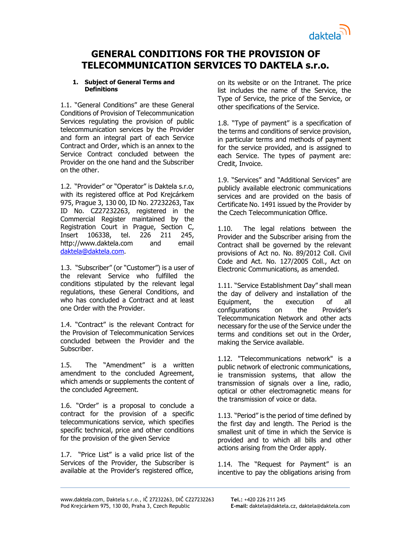

# **GENERAL CONDITIONS FOR THE PROVISION OF TELECOMMUNICATION SERVICES TO DAKTELA s.r.o.**

#### **1. Subject of General Terms and Definitions**

1.1. "General Conditions" are these General Conditions of Provision of Telecommunication Services regulating the provision of public telecommunication services by the Provider and form an integral part of each Service Contract and Order, which is an annex to the Service Contract concluded between the Provider on the one hand and the Subscriber on the other.

1.2. "Provider" or "Operator" is Daktela s.r.o, with its registered office at Pod Krejcárkem 975, Prague 3, 130 00, ID No. 27232263, Tax ID No. CZ27232263, registered in the Commercial Register maintained by the Registration Court in Prague, Section C, Insert 106338, tel. 226 211 245, [http://www.daktela.com](http://www.daktela.com/) and email [daktela@daktela.com.](mailto:daktela@daktela.com)

1.3. "Subscriber" (or "Customer") is a user of the relevant Service who fulfilled the conditions stipulated by the relevant legal regulations, these General Conditions, and who has concluded a Contract and at least one Order with the Provider.

1.4. "Contract" is the relevant Contract for the Provision of Telecommunication Services concluded between the Provider and the Subscriber.

1.5. The "Amendment" is a written amendment to the concluded Agreement, which amends or supplements the content of the concluded Agreement.

1.6. "Order" is a proposal to conclude a contract for the provision of a specific telecommunications service, which specifies specific technical, price and other conditions for the provision of the given Service

1.7. "Price List" is a valid price list of the Services of the Provider, the Subscriber is available at the Provider's registered office,

on its website or on the Intranet. The price list includes the name of the Service, the Type of Service, the price of the Service, or other specifications of the Service.

1.8. "Type of payment" is a specification of the terms and conditions of service provision, in particular terms and methods of payment for the service provided, and is assigned to each Service. The types of payment are: Credit, Invoice.

1.9. "Services" and "Additional Services" are publicly available electronic communications services and are provided on the basis of Certificate No. 1491 issued by the Provider by the Czech Telecommunication Office.

1.10. The legal relations between the Provider and the Subscriber arising from the Contract shall be governed by the relevant provisions of Act no. No. 89/2012 Coll. Civil Code and Act. No. 127/2005 Coll., Act on Electronic Communications, as amended.

1.11. "Service Establishment Day" shall mean the day of delivery and installation of the Equipment, the execution of all configurations on the Provider's Telecommunication Network and other acts necessary for the use of the Service under the terms and conditions set out in the Order, making the Service available.

1.12. "Telecommunications network" is a public network of electronic communications, ie transmission systems, that allow the transmission of signals over a line, radio, optical or other electromagnetic means for the transmission of voice or data.

1.13. "Period" is the period of time defined by the first day and length. The Period is the smallest unit of time in which the Service is provided and to which all bills and other actions arising from the Order apply.

1.14. The "Request for Payment" is an incentive to pay the obligations arising from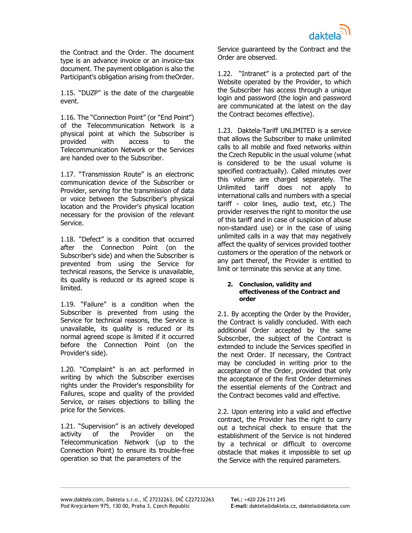the Contract and the Order. The document type is an advance invoice or an invoice-tax document. The payment obligation is also the Participant's obligation arising from theOrder.

1.15. "DUZP" is the date of the chargeable event.

1.16. The "Connection Point" (or "End Point") of the Telecommunication Network is a physical point at which the Subscriber is provided with access to the Telecommunication Network or the Services are handed over to the Subscriber.

1.17. "Transmission Route" is an electronic communication device of the Subscriber or Provider, serving for the transmission of data or voice between the Subscriber's physical location and the Provider's physical location necessary for the provision of the relevant Service.

1.18. "Defect" is a condition that occurred after the Connection Point (on the Subscriber's side) and when the Subscriber is prevented from using the Service for technical reasons, the Service is unavailable, its quality is reduced or its agreed scope is limited.

1.19. "Failure" is a condition when the Subscriber is prevented from using the Service for technical reasons, the Service is unavailable, its quality is reduced or its normal agreed scope is limited if it occurred before the Connection Point (on the Provider's side).

1.20. "Complaint" is an act performed in writing by which the Subscriber exercises rights under the Provider's responsibility for Failures, scope and quality of the provided Service, or raises objections to billing the price for the Services.

1.21. "Supervision" is an actively developed activity of the Provider on the Telecommunication Network (up to the Connection Point) to ensure its trouble-free operation so that the parameters of the

Service guaranteed by the Contract and the Order are observed.

1.22. "Intranet" is a protected part of the Website operated by the Provider, to which the Subscriber has access through a unique login and password (the login and password are communicated at the latest on the day the Contract becomes effective).

1.23. Daktela-Tariff UNLIMITED is a service that allows the Subscriber to make unlimited calls to all mobile and fixed networks within the Czech Republic in the usual volume (what is considered to be the usual volume is specified contractually). Called minutes over this volume are charged separately. The Unlimited tariff does not apply to international calls and numbers with a special tariff - color lines, audio text, etc.) The provider reserves the right to monitor the use of this tariff and in case of suspicion of abuse non-standard use) or in the case of using unlimited calls in a way that may negatively affect the quality of services provided toother customers or the operation of the network or any part thereof, the Provider is entitled to limit or terminate this service at any time.

#### **2. Conclusion, validity and effectiveness of the Contract and order**

2.1. By accepting the Order by the Provider, the Contract is validly concluded. With each additional Order accepted by the same Subscriber, the subject of the Contract is extended to include the Services specified in the next Order. If necessary, the Contract may be concluded in writing prior to the acceptance of the Order, provided that only the acceptance of the first Order determines the essential elements of the Contract and the Contract becomes valid and effective.

2.2. Upon entering into a valid and effective contract, the Provider has the right to carry out a technical check to ensure that the establishment of the Service is not hindered by a technical or difficult to overcome obstacle that makes it impossible to set up the Service with the required parameters.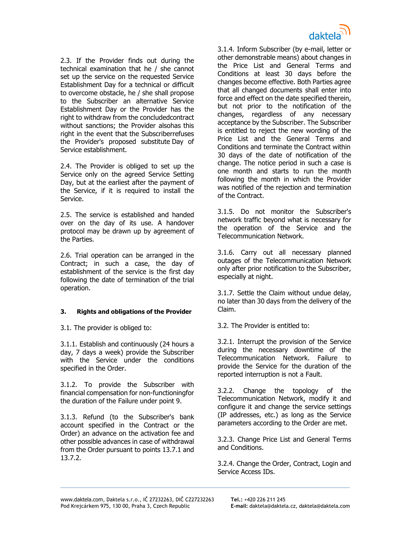

2.3. If the Provider finds out during the technical examination that he / she cannot set up the service on the requested Service Establishment Day for a technical or difficult to overcome obstacle, he / she shall propose to the Subscriber an alternative Service Establishment Day or the Provider has the right to withdraw from the concludedcontract without sanctions; the Provider alsohas this right in the event that the Subscriberrefuses the Provider's proposed substitute Day of Service establishment.

2.4. The Provider is obliged to set up the Service only on the agreed Service Setting Day, but at the earliest after the payment of the Service, if it is required to install the Service.

2.5. The service is established and handed over on the day of its use. A handover protocol may be drawn up by agreement of the Parties.

2.6. Trial operation can be arranged in the Contract; in such a case, the day of establishment of the service is the first day following the date of termination of the trial operation.

#### **3. Rights and obligations of the Provider**

3.1. The provider is obliged to:

3.1.1. Establish and continuously (24 hours a day, 7 days a week) provide the Subscriber with the Service under the conditions specified in the Order.

3.1.2. To provide the Subscriber with financial compensation for non-functioningfor the duration of the Failure under point 9.

3.1.3. Refund (to the Subscriber's bank account specified in the Contract or the Order) an advance on the activation fee and other possible advances in case of withdrawal from the Order pursuant to points 13.7.1 and 13.7.2.

3.1.4. Inform Subscriber (by e-mail, letter or other demonstrable means) about changes in the Price List and General Terms and Conditions at least 30 days before the changes become effective. Both Parties agree that all changed documents shall enter into force and effect on the date specified therein, but not prior to the notification of the changes, regardless of any necessary acceptance by the Subscriber. The Subscriber is entitled to reject the new wording of the Price List and the General Terms and Conditions and terminate the Contract within 30 days of the date of notification of the change. The notice period in such a case is one month and starts to run the month following the month in which the Provider was notified of the rejection and termination of the Contract.

3.1.5. Do not monitor the Subscriber's network traffic beyond what is necessary for the operation of the Service and the Telecommunication Network.

3.1.6. Carry out all necessary planned outages of the Telecommunication Network only after prior notification to the Subscriber, especially at night.

3.1.7. Settle the Claim without undue delay, no later than 30 days from the delivery of the Claim.

3.2. The Provider is entitled to:

3.2.1. Interrupt the provision of the Service during the necessary downtime of the Telecommunication Network. Failure to provide the Service for the duration of the reported interruption is not a Fault.

3.2.2. Change the topology of the Telecommunication Network, modify it and configure it and change the service settings (IP addresses, etc.) as long as the Service parameters according to the Order are met.

3.2.3. Change Price List and General Terms and Conditions.

3.2.4. Change the Order, Contract, Login and Service Access IDs.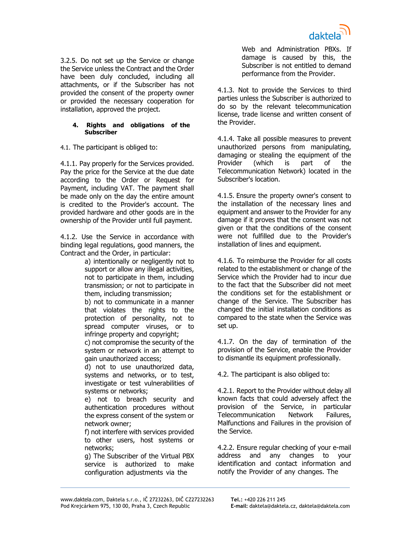3.2.5. Do not set up the Service or change the Service unless the Contract and the Order have been duly concluded, including all attachments, or if the Subscriber has not provided the consent of the property owner or provided the necessary cooperation for installation, approved the project.

## **4. Rights and obligations of the Subscriber**

4.1. The participant is obliged to:

4.1.1. Pay properly for the Services provided. Pay the price for the Service at the due date according to the Order or Request for Payment, including VAT. The payment shall be made only on the day the entire amount is credited to the Provider's account. The provided hardware and other goods are in the ownership of the Provider until full payment.

4.1.2. Use the Service in accordance with binding legal regulations, good manners, the Contract and the Order, in particular:

a) intentionally or negligently not to support or allow any illegal activities, not to participate in them, including transmission; or not to participate in them, including transmission;

b) not to communicate in a manner that violates the rights to the protection of personality, not to spread computer viruses, or to infringe property and copyright;

c) not compromise the security of the system or network in an attempt to gain unauthorized access;

d) not to use unauthorized data, systems and networks, or to test, investigate or test vulnerabilities of systems or networks;

e) not to breach security and authentication procedures without the express consent of the system or network owner;

f) not interfere with services provided to other users, host systems or networks;

g) The Subscriber of the Virtual PBX service is authorized to make configuration adjustments via the

Web and Administration PBXs. If damage is caused by this, the Subscriber is not entitled to demand performance from the Provider.

4.1.3. Not to provide the Services to third parties unless the Subscriber is authorized to do so by the relevant telecommunication license, trade license and written consent of the Provider.

4.1.4. Take all possible measures to prevent unauthorized persons from manipulating, damaging or stealing the equipment of the<br>Provider (which is part of the Provider (which is part of the Telecommunication Network) located in the Subscriber's location.

4.1.5. Ensure the property owner's consent to the installation of the necessary lines and equipment and answer to the Provider for any damage if it proves that the consent was not given or that the conditions of the consent were not fulfilled due to the Provider's installation of lines and equipment.

4.1.6. To reimburse the Provider for all costs related to the establishment or change of the Service which the Provider had to incur due to the fact that the Subscriber did not meet the conditions set for the establishment or change of the Service. The Subscriber has changed the initial installation conditions as compared to the state when the Service was set up.

4.1.7. On the day of termination of the provision of the Service, enable the Provider to dismantle its equipment professionally.

4.2. The participant is also obliged to:

4.2.1. Report to the Provider without delay all known facts that could adversely affect the provision of the Service, in particular<br>Telecommunication Network Failures, Telecommunication Malfunctions and Failures in the provision of the Service.

4.2.2. Ensure regular checking of your e-mail<br>address and any changes to your address and any identification and contact information and notify the Provider of any changes. The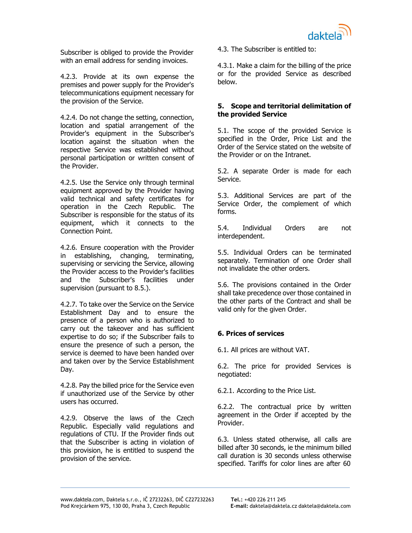

Subscriber is obliged to provide the Provider with an email address for sending invoices.

4.2.3. Provide at its own expense the premises and power supply for the Provider's telecommunications equipment necessary for the provision of the Service.

4.2.4. Do not change the setting, connection, location and spatial arrangement of the Provider's equipment in the Subscriber's location against the situation when the respective Service was established without personal participation or written consent of the Provider.

4.2.5. Use the Service only through terminal equipment approved by the Provider having valid technical and safety certificates for operation in the Czech Republic. The Subscriber is responsible for the status of its equipment, which it connects to the Connection Point.

4.2.6. Ensure cooperation with the Provider in establishing, changing, terminating, supervising or servicing the Service, allowing the Provider access to the Provider's facilities and the Subscriber's facilities under supervision (pursuant to 8.5.).

4.2.7. To take over the Service on the Service Establishment Day and to ensure the presence of a person who is authorized to carry out the takeover and has sufficient expertise to do so; if the Subscriber fails to ensure the presence of such a person, the service is deemed to have been handed over and taken over by the Service Establishment Day.

4.2.8. Pay the billed price for the Service even if unauthorized use of the Service by other users has occurred.

4.2.9. Observe the laws of the Czech Republic. Especially valid regulations and regulations of CTU. If the Provider finds out that the Subscriber is acting in violation of this provision, he is entitled to suspend the provision of the service.

4.3. The Subscriber is entitled to:

4.3.1. Make a claim for the billing of the price or for the provided Service as described below.

## **5. Scope and territorial delimitation of the provided Service**

5.1. The scope of the provided Service is specified in the Order, Price List and the Order of the Service stated on the website of the Provider or on the Intranet.

5.2. A separate Order is made for each Service.

5.3. Additional Services are part of the Service Order, the complement of which forms.

5.4. Individual Orders are not interdependent.

5.5. Individual Orders can be terminated separately. Termination of one Order shall not invalidate the other orders.

5.6. The provisions contained in the Order shall take precedence over those contained in the other parts of the Contract and shall be valid only for the given Order.

# **6. Prices of services**

6.1. All prices are without VAT.

6.2. The price for provided Services is negotiated:

6.2.1. According to the Price List.

6.2.2. The contractual price by written agreement in the Order if accepted by the Provider.

6.3. Unless stated otherwise, all calls are billed after 30 seconds, ie the minimum billed call duration is 30 seconds unless otherwise specified. Tariffs for color lines are after 60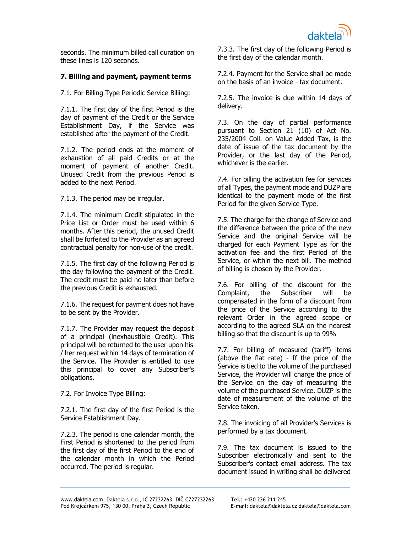seconds. The minimum billed call duration on these lines is 120 seconds.

## **7. Billing and payment, payment terms**

7.1. For Billing Type Periodic Service Billing:

7.1.1. The first day of the first Period is the day of payment of the Credit or the Service Establishment Day, if the Service was established after the payment of the Credit.

7.1.2. The period ends at the moment of exhaustion of all paid Credits or at the moment of payment of another Credit. Unused Credit from the previous Period is added to the next Period.

7.1.3. The period may be irregular.

7.1.4. The minimum Credit stipulated in the Price List or Order must be used within 6 months. After this period, the unused Credit shall be forfeited to the Provider as an agreed contractual penalty for non-use of the credit.

7.1.5. The first day of the following Period is the day following the payment of the Credit. The credit must be paid no later than before the previous Credit is exhausted.

7.1.6. The request for payment does not have to be sent by the Provider.

7.1.7. The Provider may request the deposit of a principal (inexhaustible Credit). This principal will be returned to the user upon his / her request within 14 days of termination of the Service. The Provider is entitled to use this principal to cover any Subscriber's obligations.

7.2. For Invoice Type Billing:

7.2.1. The first day of the first Period is the Service Establishment Day.

7.2.3. The period is one calendar month, the First Period is shortened to the period from the first day of the first Period to the end of the calendar month in which the Period occurred. The period is regular.

7.3.3. The first day of the following Period is the first day of the calendar month.

7.2.4. Payment for the Service shall be made on the basis of an invoice - tax document.

7.2.5. The invoice is due within 14 days of delivery.

7.3. On the day of partial performance pursuant to Section 21 (10) of Act No. 235/2004 Coll. on Value Added Tax, is the date of issue of the tax document by the Provider, or the last day of the Period, whichever is the earlier.

7.4. For billing the activation fee for services of all Types, the payment mode and DUZP are identical to the payment mode of the first Period for the given Service Type.

7.5. The charge for the change of Service and the difference between the price of the new Service and the original Service will be charged for each Payment Type as for the activation fee and the first Period of the Service, or within the next bill. The method of billing is chosen by the Provider.

7.6. For billing of the discount for the Complaint, the Subscriber will be compensated in the form of a discount from the price of the Service according to the relevant Order in the agreed scope or according to the agreed SLA on the nearest billing so that the discount is up to 99%

7.7. For billing of measured (tariff) items (above the flat rate) - If the price of the Service is tied to the volume of the purchased Service, the Provider will charge the price of the Service on the day of measuring the volume of the purchased Service. DUZP is the date of measurement of the volume of the Service taken.

7.8. The invoicing of all Provider's Services is performed by a tax document.

7.9. The tax document is issued to the Subscriber electronically and sent to the Subscriber's contact email address. The tax document issued in writing shall be delivered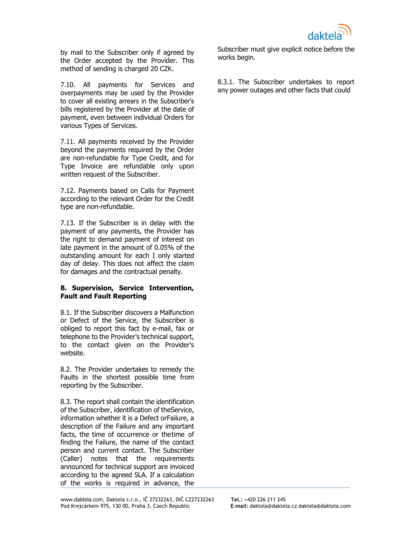

by mail to the Subscriber only if agreed by the Order accepted by the Provider. This method of sending is charged 20 CZK.

7.10. All payments for Services and overpayments may be used by the Provider to cover all existing arrears in the Subscriber's bills registered by the Provider at the date of payment, even between individual Orders for various Types of Services.

7.11. All payments received by the Provider beyond the payments required by the Order are non-refundable for Type Credit, and for Type Invoice are refundable only upon written request of the Subscriber.

7.12. Payments based on Calls for Payment according to the relevant Order for the Credit type are non-refundable.

7.13. If the Subscriber is in delay with the payment of any payments, the Provider has the right to demand payment of interest on late payment in the amount of 0.05% of the outstanding amount for each I only started day of delay. This does not affect the claim for damages and the contractual penalty.

## **8. Supervision, Service Intervention, Fault and Fault Reporting**

8.1. If the Subscriber discovers a Malfunction or Defect of the Service, the Subscriber is obliged to report this fact by e-mail, fax or telephone to the Provider's technical support, to the contact given on the Provider's website.

8.2. The Provider undertakes to remedy the Faults in the shortest possible time from reporting by the Subscriber.

8.3. The report shall contain the identification of the Subscriber, identification of theService, information whether it is a Defect orFailure, a description of the Failure and any important facts, the time of occurrence or thetime of finding the Failure, the name of the contact person and current contact. The Subscriber (Caller) notes that the requirements announced for technical support are invoiced according to the agreed SLA. If a calculation of the works is required in advance, the

Subscriber must give explicit notice before the works begin.

8.3.1. The Subscriber undertakes to report any power outages and other facts that could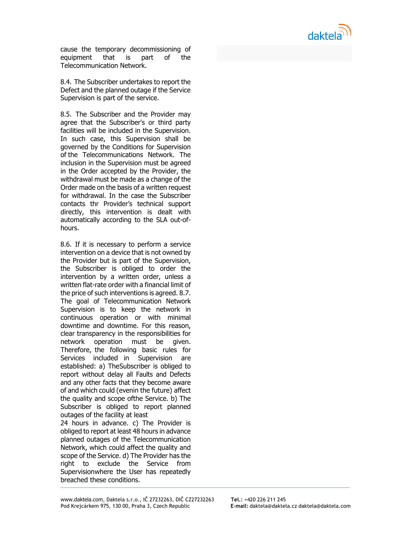

cause the temporary decommissioning of equipment that is part of the Telecommunication Network.

8.4. The Subscriber undertakes to report the Defect and the planned outage if the Service Supervision is part of the service.

8.5. The Subscriber and the Provider may agree that the Subscriber's or third party facilities will be included in the Supervision. In such case, this Supervision shall be governed by the Conditions for Supervision of the Telecommunications Network. The inclusion in the Supervision must be agreed in the Order accepted by the Provider, the withdrawal must be made as a change of the Order made on the basis of a written request for withdrawal. In the case the Subscriber contacts thr Provider's technical support directly, this intervention is dealt with automatically according to the SLA out-ofhours.

8.6. If it is necessary to perform a service intervention on a device that is not owned by the Provider but is part of the Supervision, the Subscriber is obliged to order the intervention by a written order, unless a written flat-rate order with a financial limit of the price of such interventions is agreed. 8.7. The goal of Telecommunication Network Supervision is to keep the network in continuous operation or with minimal downtime and downtime. For this reason, clear transparency in the responsibilities for network operation must be given. Therefore, the following basic rules for Services included in Supervision are established: a) TheSubscriber is obliged to report without delay all Faults and Defects and any other facts that they become aware of and which could (evenin the future) affect the quality and scope ofthe Service. b) The Subscriber is obliged to report planned outages of the facility at least 24 hours in advance. c) The Provider is obliged to report at least 48 hours in advance

planned outages of the Telecommunication Network, which could affect the quality and scope of the Service. d) The Provider has the right to exclude the Service from Supervisionwhere the User has repeatedly breached these conditions.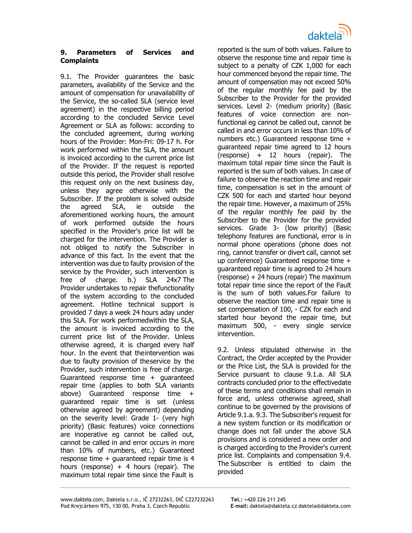

## **9. Parameters of Services and Complaints**

9.1. The Provider guarantees the basic parameters, availability of the Service and the amount of compensation for unavailability of the Service, the so-called SLA (service level agreement) in the respective billing period according to the concluded Service Level Agreement or SLA as follows: according to the concluded agreement, during working hours of the Provider: Mon-Fri: 09-17 h. For work performed within the SLA, the amount is invoiced according to the current price list of the Provider. If the request is reported outside this period, the Provider shall resolve this request only on the next business day, unless they agree otherwise with the Subscriber. If the problem is solved outside<br>the agreed SLA, ie outside the the agreed SLA, ie outside the aforementioned working hours, the amount of work performed outside the hours specified in the Provider's price list will be charged for the intervention. The Provider is not obliged to notify the Subscriber in advance of this fact. In the event that the intervention was due to faulty provision of the service by the Provider, such intervention is free of charge. b.) SLA 24x7 The Provider undertakes to repair thefunctionality of the system according to the concluded agreement. Hotline technical support is provided 7 days a week 24 hours aday under this SLA. For work performedwithin the SLA, the amount is invoiced according to the current price list of the Provider. Unless otherwise agreed, it is charged every half hour. In the event that theintervention was due to faulty provision of theservice by the Provider, such intervention is free of charge. Guaranteed response time + guaranteed repair time (applies to both SLA variants above) Guaranteed response time + guaranteed repair time is set (unless otherwise agreed by agreement) depending on the severity level: Grade 1- (very high priority) (Basic features) voice connections are inoperative eg cannot be called out, cannot be called in and error occurs in more than 10% of numbers, etc.) Guaranteed response time + guaranteed repair time is 4 hours (response)  $+ 4$  hours (repair). The maximum total repair time since the Fault is

reported is the sum of both values. Failure to observe the response time and repair time is subject to a penalty of CZK 1,000 for each hour commenced beyond the repair time. The amount of compensation may not exceed 50% of the regular monthly fee paid by the Subscriber to the Provider for the provided services. Level 2- (medium priority) (Basic features of voice connection are nonfunctional eg cannot be called out, cannot be called in and error occurs in less than 10% of numbers etc.) Guaranteed response time + guaranteed repair time agreed to 12 hours (response) + 12 hours (repair). The maximum total repair time since the Fault is reported is the sum of both values. In case of failure to observe the reaction time and repair time, compensation is set in the amount of CZK 500 for each and started hour beyond the repair time. However, a maximum of 25% of the regular monthly fee paid by the Subscriber to the Provider for the provided services. Grade 3- (low priority) (Basic telephony features are functional, error is in normal phone operations (phone does not ring, cannot transfer or divert call, cannot set up conference) Guaranteed response time + guaranteed repair time is agreed to 24 hours (response) + 24 hours (repair) The maximum total repair time since the report of the Fault is the sum of both values.For failure to observe the reaction time and repair time is set compensation of 100, - CZK for each and started hour beyond the repair time, but maximum 500, - every single service intervention.

9.2. Unless stipulated otherwise in the Contract, the Order accepted by the Provider or the Price List, the SLA is provided for the Service pursuant to clause 9.1.a. All SLA contracts concluded prior to the effectivedate of these terms and conditions shall remain in force and, unless otherwise agreed, shall continue to be governed by the provisions of Article 9.1.a. 9.3. The Subscriber's request for a new system function or its modification or change does not fall under the above SLA provisions and is considered a new order and is charged according to the Provider's current price list. Complaints and compensation 9.4. The Subscriber is entitled to claim the provided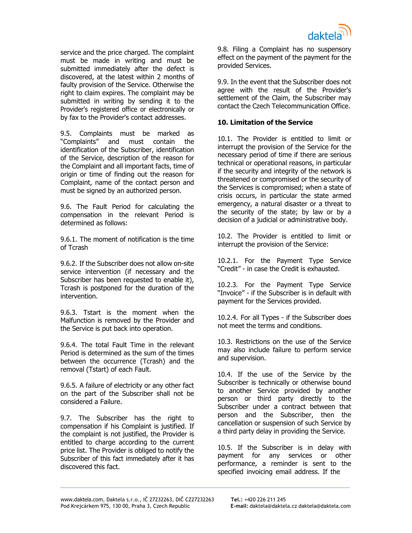

service and the price charged. The complaint must be made in writing and must be submitted immediately after the defect is discovered, at the latest within 2 months of faulty provision of the Service. Otherwise the right to claim expires. The complaint may be submitted in writing by sending it to the Provider's registered office or electronically or by fax to the Provider's contact addresses.

9.5. Complaints must be marked as "Complaints" and must contain the identification of the Subscriber, identification of the Service, description of the reason for the Complaint and all important facts, time of origin or time of finding out the reason for Complaint, name of the contact person and must be signed by an authorized person.

9.6. The Fault Period for calculating the compensation in the relevant Period is determined as follows:

9.6.1. The moment of notification is the time of Tcrash

9.6.2. If the Subscriber does not allow on-site service intervention (if necessary and the Subscriber has been requested to enable it), Tcrash is postponed for the duration of the intervention.

9.6.3. Tstart is the moment when the Malfunction is removed by the Provider and the Service is put back into operation.

9.6.4. The total Fault Time in the relevant Period is determined as the sum of the times between the occurrence (Tcrash) and the removal (Tstart) of each Fault.

9.6.5. A failure of electricity or any other fact on the part of the Subscriber shall not be considered a Failure.

9.7. The Subscriber has the right to compensation if his Complaint is justified. If the complaint is not justified, the Provider is entitled to charge according to the current price list. The Provider is obliged to notify the Subscriber of this fact immediately after it has discovered this fact.

9.8. Filing a Complaint has no suspensory effect on the payment of the payment for the provided Services.

9.9. In the event that the Subscriber does not agree with the result of the Provider's settlement of the Claim, the Subscriber may contact the Czech Telecommunication Office.

## **10. Limitation of the Service**

10.1. The Provider is entitled to limit or interrupt the provision of the Service for the necessary period of time if there are serious technical or operational reasons, in particular if the security and integrity of the network is threatened or compromised or the security of the Services is compromised; when a state of crisis occurs, in particular the state armed emergency, a natural disaster or a threat to the security of the state; by law or by a decision of a judicial or administrative body.

10.2. The Provider is entitled to limit or interrupt the provision of the Service:

10.2.1. For the Payment Type Service "Credit" - in case the Credit is exhausted.

10.2.3. For the Payment Type Service "Invoice" - if the Subscriber is in default with payment for the Services provided.

10.2.4. For all Types - if the Subscriber does not meet the terms and conditions.

10.3. Restrictions on the use of the Service may also include failure to perform service and supervision.

10.4. If the use of the Service by the Subscriber is technically or otherwise bound to another Service provided by another person or third party directly to the Subscriber under a contract between that person and the Subscriber, then the cancellation or suspension of such Service by a third party delay in providing the Service.

10.5. If the Subscriber is in delay with payment for any services or other performance, a reminder is sent to the specified invoicing email address. If the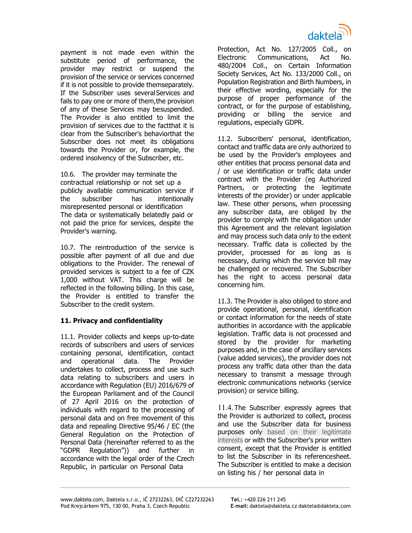

payment is not made even within the substitute period of performance, the provider may restrict or suspend the provision of the service or services concerned if it is not possible to provide themseparately. If the Subscriber uses severalServices and fails to pay one or more of them,the provision of any of these Services may besuspended. The Provider is also entitled to limit the provision of services due to the factthat it is clear from the Subscriber's behaviorthat the Subscriber does not meet its obligations towards the Provider or, for example, the ordered insolvency of the Subscriber, etc.

10.6. The provider may terminate the contractual relationship or not set up a publicly available communication service if<br>the subscriber has intentionally the subscriber has intentionally misrepresented personal or identification The data or systematically belatedly paid or not paid the price for services, despite the Provider's warning.

10.7. The reintroduction of the service is possible after payment of all due and due obligations to the Provider. The renewal of provided services is subject to a fee of CZK 1,000 without VAT. This charge will be reflected in the following billing. In this case, the Provider is entitled to transfer the Subscriber to the credit system.

# **11. Privacy and confidentiality**

11.1. Provider collects and keeps up-to-date records of subscribers and users of services containing personal, identification, contact and operational data. The Provider undertakes to collect, process and use such data relating to subscribers and users in accordance with Regulation (EU) 2016/679 of the European Parliament and of the Council of 27 April 2016 on the protection of individuals with regard to the processing of personal data and on free movement of this data and repealing Directive 95/46 / EC (the General Regulation on the Protection of Personal Data (hereinafter referred to as the "GDPR Regulation")) and further in accordance with the legal order of the Czech Republic, in particular on Personal Data

Protection, Act No. 127/2005 Coll., on Electronic Communications, Act No. 480/2004 Coll., on Certain Information Society Services, Act No. 133/2000 Coll., on Population Registration and Birth Numbers, in their effective wording, especially for the purpose of proper performance of the contract, or for the purpose of establishing, providing or billing the service and regulations, especially GDPR.

11.2. Subscribers' personal, identification, contact and traffic data are only authorized to be used by the Provider's employees and other entities that process personal data and / or use identification or traffic data under contract with the Provider (eg Authorized Partners, or protecting the legitimate interests of the provider) or under applicable law. These other persons, when processing any subscriber data, are obliged by the provider to comply with the obligation under this Agreement and the relevant legislation and may process such data only to the extent necessary. Traffic data is collected by the provider, processed for as long as is necessary, during which the service bill may be challenged or recovered. The Subscriber has the right to access personal data concerning him.

11.3. The Provider is also obliged to store and provide operational, personal, identification or contact information for the needs of state authorities in accordance with the applicable legislation. Traffic data is not processed and stored by the provider for marketing purposes and, in the case of ancillary services (value added services), the provider does not process any traffic data other than the data necessary to transmit a message through electronic communications networks (service provision) or service billing.

11.4.The Subscriber expressly agrees that the Provider is authorized to collect, process and use the Subscriber data for business purposes only based on their legitimate interests or with the Subscriber's prior written consent, except that the Provider is entitled to list the Subscriber in its referencesheet. The Subscriber is entitled to make a decision on listing his / her personal data in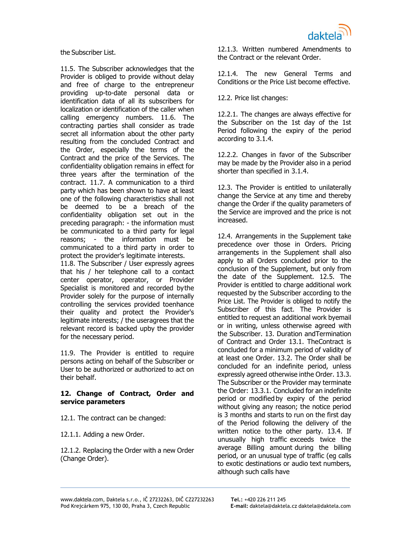the Subscriber List.

11.5. The Subscriber acknowledges that the Provider is obliged to provide without delay and free of charge to the entrepreneur providing up-to-date personal data or identification data of all its subscribers for localization or identification of the caller when calling emergency numbers. 11.6. The contracting parties shall consider as trade secret all information about the other party resulting from the concluded Contract and the Order, especially the terms of the Contract and the price of the Services. The confidentiality obligation remains in effect for three years after the termination of the contract. 11.7. A communication to a third party which has been shown to have at least one of the following characteristics shall not be deemed to be a breach of the confidentiality obligation set out in the preceding paragraph: - the information must be communicated to a third party for legal reasons; - the information must be communicated to a third party in order to protect the provider's legitimate interests.

11.8. The Subscriber / User expressly agrees that his / her telephone call to a contact center operator, operator, or Provider Specialist is monitored and recorded bythe Provider solely for the purpose of internally controlling the services provided toenhance their quality and protect the Provider's legitimate interests; / the useragrees that the relevant record is backed upby the provider for the necessary period.

11.9. The Provider is entitled to require persons acting on behalf of the Subscriber or User to be authorized or authorized to act on their behalf.

## **12. Change of Contract, Order and service parameters**

12.1. The contract can be changed:

12.1.1. Adding a new Order.

12.1.2. Replacing the Order with a new Order (Change Order).

12.1.3. Written numbered Amendments to the Contract or the relevant Order.

12.1.4. The new General Terms and Conditions or the Price List become effective.

12.2. Price list changes:

12.2.1. The changes are always effective for the Subscriber on the 1st day of the 1st Period following the expiry of the period according to 3.1.4.

12.2.2. Changes in favor of the Subscriber may be made by the Provider also in a period shorter than specified in 3.1.4.

12.3. The Provider is entitled to unilaterally change the Service at any time and thereby change the Order if the quality parameters of the Service are improved and the price is not increased.

12.4. Arrangements in the Supplement take precedence over those in Orders. Pricing arrangements in the Supplement shall also apply to all Orders concluded prior to the conclusion of the Supplement, but only from the date of the Supplement. 12.5. The Provider is entitled to charge additional work requested by the Subscriber according to the Price List. The Provider is obliged to notify the Subscriber of this fact. The Provider is entitled to request an additional work byemail or in writing, unless otherwise agreed with the Subscriber. 13. Duration andTermination of Contract and Order 13.1. TheContract is concluded for a minimum period of validity of at least one Order. 13.2. The Order shall be concluded for an indefinite period, unless expressly agreed otherwise inthe Order. 13.3. The Subscriber or the Provider may terminate the Order: 13.3.1. Concluded for an indefinite period or modified by expiry of the period without giving any reason; the notice period is 3 months and starts to run on the first day of the Period following the delivery of the written notice to the other party. 13.4. If unusually high traffic exceeds twice the average Billing amount during the billing period, or an unusual type of traffic (eg calls to exotic destinations or audio text numbers, although such calls have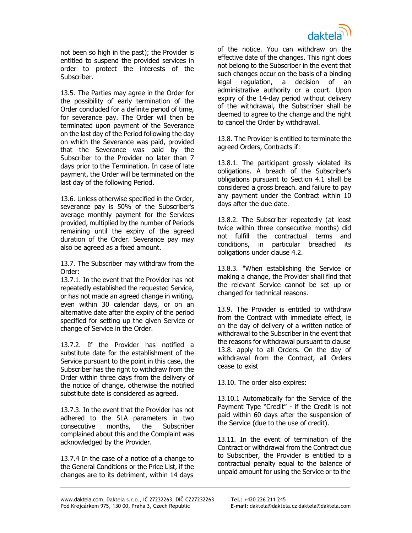

not been so high in the past); the Provider is entitled to suspend the provided services in order to protect the interests of the Subscriber.

13.5. The Parties may agree in the Order for the possibility of early termination of the Order concluded for a definite period of time, for severance pay. The Order will then be terminated upon payment of the Severance on the last day of the Period following the day on which the Severance was paid, provided that the Severance was paid by the Subscriber to the Provider no later than 7 days prior to the Termination. In case of late payment, the Order will be terminated on the last day of the following Period.

13.6. Unless otherwise specified in the Order, severance pay is 50% of the Subscriber's average monthly payment for the Services provided, multiplied by the number of Periods remaining until the expiry of the agreed duration of the Order. Severance pay may also be agreed as a fixed amount.

13.7. The Subscriber may withdraw from the Order:

13.7.1. In the event that the Provider has not repeatedly established the requested Service, or has not made an agreed change in writing, even within 30 calendar days, or on an alternative date after the expiry of the period specified for setting up the given Service or change of Service in the Order.

13.7.2. If the Provider has notified a substitute date for the establishment of the Service pursuant to the point in this case, the Subscriber has the right to withdraw from the Order within three days from the delivery of the notice of change, otherwise the notified substitute date is considered as agreed.

13.7.3. In the event that the Provider has not adhered to the SLA parameters in two<br>consecutive months, the Subscriber consecutive months, complained about this and the Complaint was acknowledged by the Provider.

13.7.4 In the case of a notice of a change to the General Conditions or the Price List, if the changes are to its detriment, within 14 days

of the notice. You can withdraw on the effective date of the changes. This right does not belong to the Subscriber in the event that such changes occur on the basis of a binding legal regulation, a decision of an administrative authority or a court. Upon expiry of the 14-day period without delivery of the withdrawal, the Subscriber shall be deemed to agree to the change and the right to cancel the Order by withdrawal.

13.8. The Provider is entitled to terminate the agreed Orders, Contracts if:

13.8.1. The participant grossly violated its obligations. A breach of the Subscriber's obligations pursuant to Section 4.1 shall be considered a gross breach. and failure to pay any payment under the Contract within 10 days after the due date.

13.8.2. The Subscriber repeatedly (at least twice within three consecutive months) did not fulfill the contractual terms and conditions, in particular breached its obligations under clause 4.2.

13.8.3. "When establishing the Service or making a change, the Provider shall find that the relevant Service cannot be set up or changed for technical reasons.

13.9. The Provider is entitled to withdraw from the Contract with immediate effect, ie on the day of delivery of a written notice of withdrawal to the Subscriber in the event that the reasons for withdrawal pursuant to clause 13.8. apply to all Orders. On the day of withdrawal from the Contract, all Orders cease to exist

13.10. The order also expires:

13.10.1 Automatically for the Service of the Payment Type "Credit" - if the Credit is not paid within 60 days after the suspension of the Service (due to the use of credit).

13.11. In the event of termination of the Contract or withdrawal from the Contract due to Subscriber, the Provider is entitled to a contractual penalty equal to the balance of unpaid amount for using the Service or to the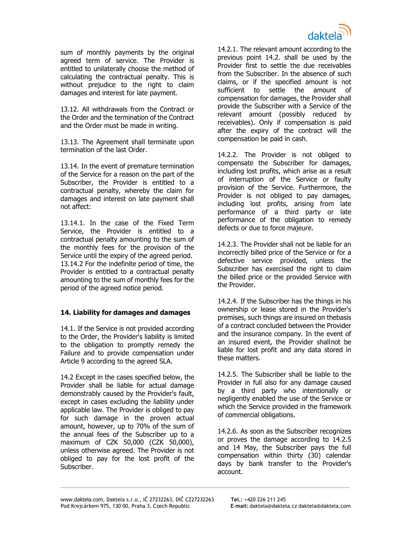

sum of monthly payments by the original agreed term of service. The Provider is entitled to unilaterally choose the method of calculating the contractual penalty. This is without prejudice to the right to claim damages and interest for late payment.

13.12. All withdrawals from the Contract or the Order and the termination of the Contract and the Order must be made in writing.

13.13. The Agreement shall terminate upon termination of the last Order.

13.14. In the event of premature termination of the Service for a reason on the part of the Subscriber, the Provider is entitled to a contractual penalty, whereby the claim for damages and interest on late payment shall not affect:

13.14.1. In the case of the Fixed Term Service, the Provider is entitled to a contractual penalty amounting to the sum of the monthly fees for the provision of the Service until the expiry of the agreed period. 13.14.2 For the indefinite period of time, the Provider is entitled to a contractual penalty amounting to the sum of monthly fees for the period of the agreed notice period.

## **14. Liability for damages and damages**

14.1. If the Service is not provided according to the Order, the Provider's liability is limited to the obligation to promptly remedy the Failure and to provide compensation under Article 9 according to the agreed SLA.

14.2 Except in the cases specified below, the Provider shall be liable for actual damage demonstrably caused by the Provider's fault, except in cases excluding the liability under applicable law. The Provider is obliged to pay for such damage in the proven actual amount, however, up to 70% of the sum of the annual fees of the Subscriber up to a maximum of CZK 50,000 (CZK 50,000), unless otherwise agreed. The Provider is not obliged to pay for the lost profit of the Subscriber.

14.2.1. The relevant amount according to the previous point 14.2. shall be used by the Provider first to settle the due receivables from the Subscriber. In the absence of such claims, or if the specified amount is not sufficient to settle the amount of compensation for damages, the Provider shall provide the Subscriber with a Service of the relevant amount (possibly reduced by receivables). Only if compensation is paid after the expiry of the contract will the compensation be paid in cash.

14.2.2. The Provider is not obliged to compensate the Subscriber for damages, including lost profits, which arise as a result of interruption of the Service or faulty provision of the Service. Furthermore, the Provider is not obliged to pay damages, including lost profits, arising from late performance of a third party or late performance of the obligation to remedy defects or due to force majeure.

14.2.3. The Provider shall not be liable for an incorrectly billed price of the Service or for a defective service provided, unless the Subscriber has exercised the right to claim the billed price or the provided Service with the Provider.

14.2.4. If the Subscriber has the things in his ownership or lease stored in the Provider's premises, such things are insured on thebasis of a contract concluded between the Provider and the insurance company. In the event of an insured event, the Provider shallnot be liable for lost profit and any data stored in these matters.

14.2.5. The Subscriber shall be liable to the Provider in full also for any damage caused by a third party who intentionally or negligently enabled the use of the Service or which the Service provided in the framework of commercial obligations.

14.2.6. As soon as the Subscriber recognizes or proves the damage according to 14.2.5 and 14 May, the Subscriber pays the full compensation within thirty (30) calendar days by bank transfer to the Provider's account.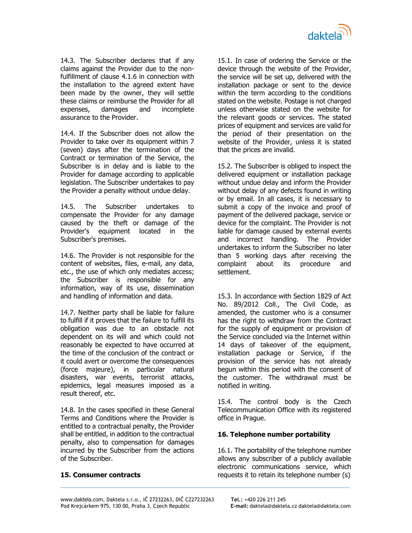

14.3. The Subscriber declares that if any claims against the Provider due to the nonfulfillment of clause 4.1.6 in connection with the installation to the agreed extent have been made by the owner, they will settle these claims or reimburse the Provider for all<br>expenses. damages and incomplete incomplete assurance to the Provider.

14.4. If the Subscriber does not allow the Provider to take over its equipment within 7 (seven) days after the termination of the Contract or termination of the Service, the Subscriber is in delay and is liable to the Provider for damage according to applicable legislation. The Subscriber undertakes to pay the Provider a penalty without undue delay.

14.5. The Subscriber undertakes to compensate the Provider for any damage caused by the theft or damage of the Provider's equipment located in the Subscriber's premises.

14.6. The Provider is not responsible for the content of websites, files, e-mail, any data, etc., the use of which only mediates access; the Subscriber is responsible for any information, way of its use, dissemination and handling of information and data.

14.7. Neither party shall be liable for failure to fulfill if it proves that the failure to fulfill its obligation was due to an obstacle not dependent on its will and which could not reasonably be expected to have occurred at the time of the conclusion of the contract or it could avert or overcome the consequences (force majeure), in particular natural disasters, war events, terrorist attacks, epidemics, legal measures imposed as a result thereof, etc.

14.8. In the cases specified in these General Terms and Conditions where the Provider is entitled to a contractual penalty, the Provider shall be entitled, in addition to the contractual penalty, also to compensation for damages incurred by the Subscriber from the actions of the Subscriber.

15.1. In case of ordering the Service or the device through the website of the Provider, the service will be set up, delivered with the installation package or sent to the device within the term according to the conditions stated on the website. Postage is not charged unless otherwise stated on the website for the relevant goods or services. The stated prices of equipment and services are valid for the period of their presentation on the website of the Provider, unless it is stated that the prices are invalid.

15.2. The Subscriber is obliged to inspect the delivered equipment or installation package without undue delay and inform the Provider without delay of any defects found in writing or by email. In all cases, it is necessary to submit a copy of the invoice and proof of payment of the delivered package, service or device for the complaint. The Provider is not liable for damage caused by external events and incorrect handling. The Provider undertakes to inform the Subscriber no later than 5 working days after receiving the<br>complaint about its procedure and complaint about its settlement.

15.3. In accordance with Section 1829 of Act No. 89/2012 Coll., The Civil Code, as amended, the customer who is a consumer has the right to withdraw from the Contract for the supply of equipment or provision of the Service concluded via the Internet within 14 days of takeover of the equipment, installation package or Service, if the provision of the service has not already begun within this period with the consent of the customer. The withdrawal must be notified in writing.

15.4. The control body is the Czech Telecommunication Office with its registered office in Prague.

## **16. Telephone number portability**

16.1. The portability of the telephone number allows any subscriber of a publicly available electronic communications service, which requests it to retain its telephone number (s)

#### **15. Consumer contracts**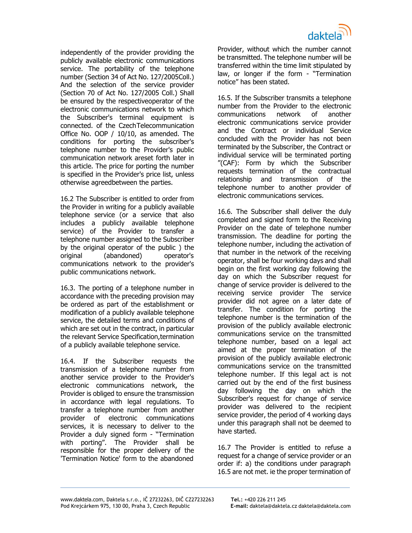independently of the provider providing the publicly available electronic communications service. The portability of the telephone number (Section 34 of Act No. 127/2005Coll.) And the selection of the service provider (Section 70 of Act No. 127/2005 Coll.) Shall be ensured by the respectiveoperator of the electronic communications network to which the Subscriber's terminal equipment is connected. of the CzechTelecommunication Office No. OOP / 10/10, as amended. The conditions for porting the subscriber's telephone number to the Provider's public communication network areset forth later in this article. The price for porting the number is specified in the Provider's price list, unless otherwise agreedbetween the parties.

16.2 The Subscriber is entitled to order from the Provider in writing for a publicly available telephone service (or a service that also includes a publicly available telephone service) of the Provider to transfer a telephone number assigned to the Subscriber by the original operator of the public) the original (abandoned) operator's original (abandoned) communications network to the provider's public communications network.

16.3. The porting of a telephone number in accordance with the preceding provision may be ordered as part of the establishment or modification of a publicly available telephone service, the detailed terms and conditions of which are set out in the contract, in particular the relevant Service Specification,termination of a publicly available telephone service.

16.4. If the Subscriber requests the transmission of a telephone number from another service provider to the Provider's electronic communications network, the Provider is obliged to ensure the transmission in accordance with legal regulations. To transfer a telephone number from another provider of electronic communications services, it is necessary to deliver to the Provider a duly signed form - "Termination with porting". The Provider shall be responsible for the proper delivery of the 'Termination Notice' form to the abandoned

Provider, without which the number cannot be transmitted. The telephone number will be transferred within the time limit stipulated by law, or longer if the form - "Termination notice" has been stated.

16.5. If the Subscriber transmits a telephone number from the Provider to the electronic<br>communications petwork of another communications electronic communications service provider and the Contract or individual Service concluded with the Provider has not been terminated by the Subscriber, the Contract or individual service will be terminated porting "(CAF): Form by which the Subscriber requests termination of the contractual relationship and transmission of the telephone number to another provider of electronic communications services.

16.6. The Subscriber shall deliver the duly completed and signed form to the Receiving Provider on the date of telephone number transmission. The deadline for porting the telephone number, including the activation of that number in the network of the receiving operator, shall be four working days and shall begin on the first working day following the day on which the Subscriber request for change of service provider is delivered to the receiving service provider The service provider did not agree on a later date of transfer. The condition for porting the telephone number is the termination of the provision of the publicly available electronic communications service on the transmitted telephone number, based on a legal act aimed at the proper termination of the provision of the publicly available electronic communications service on the transmitted telephone number. If this legal act is not carried out by the end of the first business day following the day on which the Subscriber's request for change of service provider was delivered to the recipient service provider, the period of 4 working days under this paragraph shall not be deemed to have started.

16.7 The Provider is entitled to refuse a request for a change of service provider or an order if: a) the conditions under paragraph 16.5 are not met. ie the proper termination of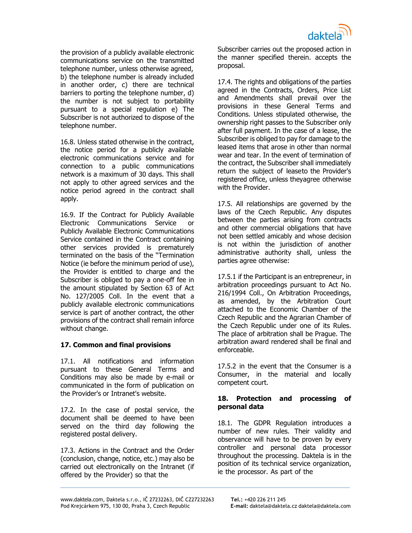the provision of a publicly available electronic communications service on the transmitted telephone number, unless otherwise agreed, b) the telephone number is already included in another order, c) there are technical barriers to porting the telephone number, d) the number is not subject to portability pursuant to a special regulation e) The Subscriber is not authorized to dispose of the telephone number.

16.8. Unless stated otherwise in the contract, the notice period for a publicly available electronic communications service and for connection to a public communications network is a maximum of 30 days. This shall not apply to other agreed services and the notice period agreed in the contract shall apply.

16.9. If the Contract for Publicly Available Electronic Communications Service or Publicly Available Electronic Communications Service contained in the Contract containing other services provided is prematurely terminated on the basis of the "Termination Notice (ie before the minimum period of use), the Provider is entitled to charge and the Subscriber is obliged to pay a one-off fee in the amount stipulated by Section 63 of Act No. 127/2005 Coll. In the event that a publicly available electronic communications service is part of another contract, the other provisions of the contract shall remain inforce without change.

# **17. Common and final provisions**

17.1. All notifications and information pursuant to these General Terms and Conditions may also be made by e-mail or communicated in the form of publication on the Provider's or Intranet's website.

17.2. In the case of postal service, the document shall be deemed to have been served on the third day following the registered postal delivery.

17.3. Actions in the Contract and the Order (conclusion, change, notice, etc.) may also be carried out electronically on the Intranet (if offered by the Provider) so that the

Subscriber carries out the proposed action in the manner specified therein. accepts the proposal.

17.4. The rights and obligations of the parties agreed in the Contracts, Orders, Price List and Amendments shall prevail over the provisions in these General Terms and Conditions. Unless stipulated otherwise, the ownership right passes to the Subscriber only after full payment. In the case of a lease, the Subscriber is obliged to pay for damage to the leased items that arose in other than normal wear and tear. In the event of termination of the contract, the Subscriber shall immediately return the subject of leaseto the Provider's registered office, unless theyagree otherwise with the Provider.

17.5. All relationships are governed by the laws of the Czech Republic. Any disputes between the parties arising from contracts and other commercial obligations that have not been settled amicably and whose decision is not within the jurisdiction of another administrative authority shall, unless the parties agree otherwise:

17.5.1 if the Participant is an entrepreneur, in arbitration proceedings pursuant to Act No. 216/1994 Coll., On Arbitration Proceedings, as amended, by the Arbitration Court attached to the Economic Chamber of the Czech Republic and the Agrarian Chamber of the Czech Republic under one of its Rules. The place of arbitration shall be Prague. The arbitration award rendered shall be final and enforceable.

17.5.2 in the event that the Consumer is a Consumer, in the material and locally competent court.

## **18. Protection and processing of personal data**

18.1. The GDPR Regulation introduces a number of new rules. Their validity and observance will have to be proven by every controller and personal data processor throughout the processing. Daktela is in the position of its technical service organization, ie the processor. As part of the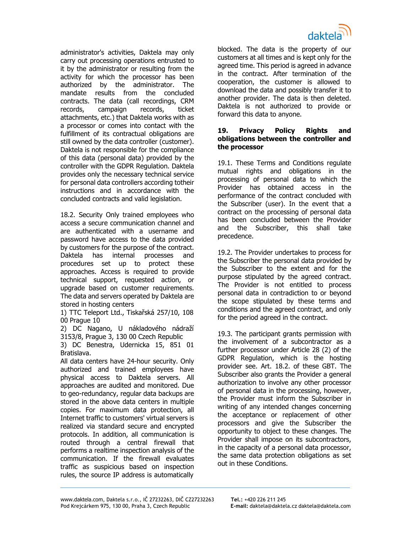

administrator's activities, Daktela may only carry out processing operations entrusted to it by the administrator or resulting from the activity for which the processor has been authorized by the administrator. The mandate results from the concluded contracts. The data (call recordings, CRM records, campaign records, ticket attachments, etc.) that Daktela works with as a processor or comes into contact with the fulfillment of its contractual obligations are still owned by the data controller (customer). Daktela is not responsible for the compliance of this data (personal data) provided by the controller with the GDPR Regulation. Daktela provides only the necessary technical service for personal data controllers according totheir instructions and in accordance with the concluded contracts and valid legislation.

18.2. Security Only trained employees who access a secure communication channel and are authenticated with a username and password have access to the data provided by customers for the purpose of the contract. Daktela has internal processes and procedures set up to protect these approaches. Access is required to provide technical support, requested action, or upgrade based on customer requirements. The data and servers operated by Daktela are stored in hosting centers

1) TTC Teleport Ltd., Tiskařská 257/10, 108 00 Prague 10

2) DC Nagano, U nákladového nádraží 3153/8, Prague 3, 130 00 Czech Republic

3) DC Benestra, Udernicka 15, 851 01 Bratislava.

All data centers have 24-hour security. Only authorized and trained employees have physical access to Daktela servers. All approaches are audited and monitored. Due to geo-redundancy, regular data backups are stored in the above data centers in multiple copies. For maximum data protection, all Internet traffic to customers' virtual servers is realized via standard secure and encrypted protocols. In addition, all communication is routed through a central firewall that performs a realtime inspection analysis of the communication. If the firewall evaluates traffic as suspicious based on inspection rules, the source IP address is automatically

blocked. The data is the property of our customers at all times and is kept only for the agreed time. This period is agreed in advance in the contract. After termination of the cooperation, the customer is allowed to download the data and possibly transfer it to another provider. The data is then deleted. Daktela is not authorized to provide or forward this data to anyone.

## **19. Privacy Policy Rights and obligations between the controller and the processor**

19.1. These Terms and Conditions regulate mutual rights and obligations in the processing of personal data to which the Provider has obtained access in the performance of the contract concluded with the Subscriber (user). In the event that a contract on the processing of personal data has been concluded between the Provider and the Subscriber, this shall take precedence.

19.2. The Provider undertakes to process for the Subscriber the personal data provided by the Subscriber to the extent and for the purpose stipulated by the agreed contract. The Provider is not entitled to process personal data in contradiction to or beyond the scope stipulated by these terms and conditions and the agreed contract, and only for the period agreed in the contract.

19.3. The participant grants permission with the involvement of a subcontractor as a further processor under Article 28 (2) of the GDPR Regulation, which is the hosting provider see. Art. 18.2. of these GBT. The Subscriber also grants the Provider a general authorization to involve any other processor of personal data in the processing, however, the Provider must inform the Subscriber in writing of any intended changes concerning the acceptance or replacement of other processors and give the Subscriber the opportunity to object to these changes. The Provider shall impose on its subcontractors, in the capacity of a personal data processor, the same data protection obligations as set out in these Conditions.

[www.daktela.com](http://www.daktela.com/)[,](http://www.daktela.com/) Daktela s.r.o., IČ 27232263, DIČ CZ27232263 Pod Krejcárkem 975, 130 00, Praha 3, Czech Republic